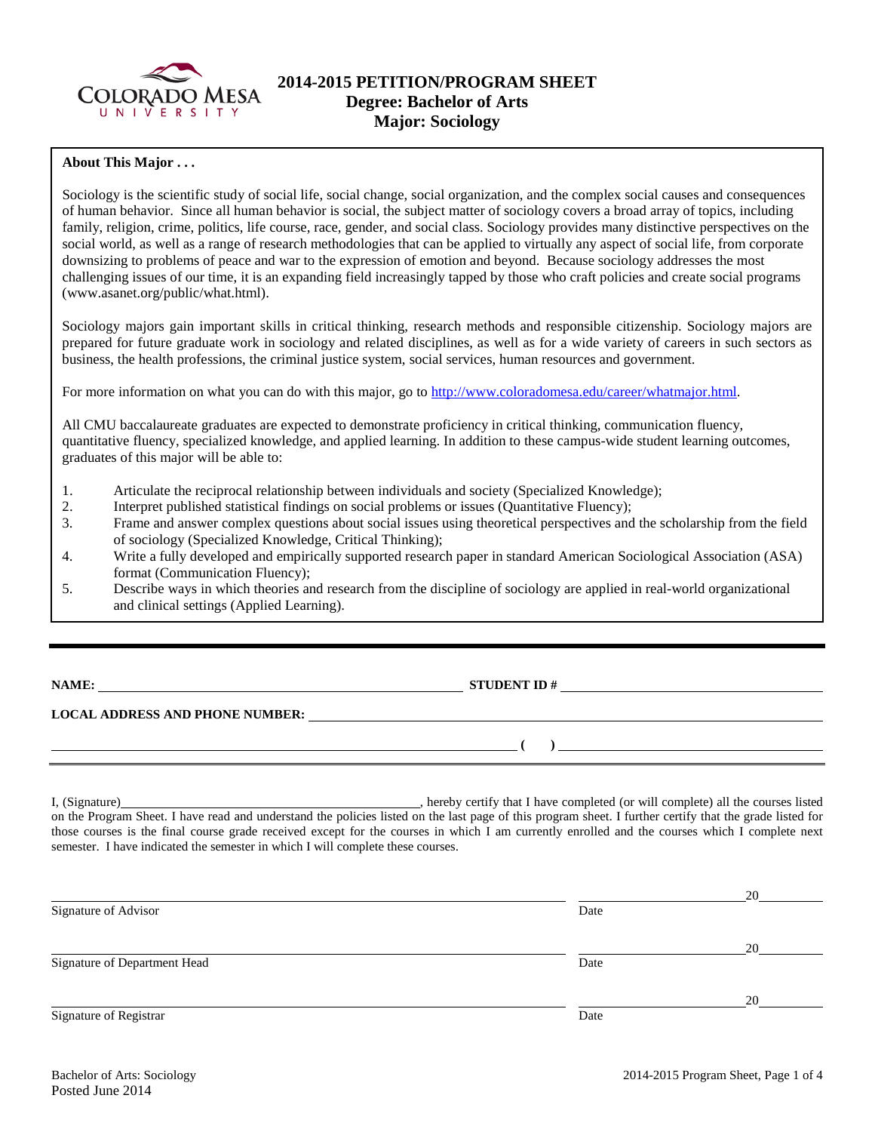

## **2014-2015 PETITION/PROGRAM SHEET Degree: Bachelor of Arts Major: Sociology**

#### **About This Major . . .**

Sociology is the scientific study of social life, social change, social organization, and the complex social causes and consequences of human behavior. Since all human behavior is social, the subject matter of sociology covers a broad array of topics, including family, religion, crime, politics, life course, race, gender, and social class. Sociology provides many distinctive perspectives on the social world, as well as a range of research methodologies that can be applied to virtually any aspect of social life, from corporate downsizing to problems of peace and war to the expression of emotion and beyond. Because sociology addresses the most challenging issues of our time, it is an expanding field increasingly tapped by those who craft policies and create social programs (www.asanet.org/public/what.html).

Sociology majors gain important skills in critical thinking, research methods and responsible citizenship. Sociology majors are prepared for future graduate work in sociology and related disciplines, as well as for a wide variety of careers in such sectors as business, the health professions, the criminal justice system, social services, human resources and government.

For more information on what you can do with this major, go to [http://www.coloradomesa.edu/career/whatmajor.html.](http://www.coloradomesa.edu/career/whatmajor.html)

All CMU baccalaureate graduates are expected to demonstrate proficiency in critical thinking, communication fluency, quantitative fluency, specialized knowledge, and applied learning. In addition to these campus-wide student learning outcomes, graduates of this major will be able to:

- 1. Articulate the reciprocal relationship between individuals and society (Specialized Knowledge);
- 2. Interpret published statistical findings on social problems or issues (Quantitative Fluency);
- 3. Frame and answer complex questions about social issues using theoretical perspectives and the scholarship from the field of sociology (Specialized Knowledge, Critical Thinking);
- 4. Write a fully developed and empirically supported research paper in standard American Sociological Association (ASA) format (Communication Fluency);
- 5. Describe ways in which theories and research from the discipline of sociology are applied in real-world organizational and clinical settings (Applied Learning).

**NAME:** STUDENT ID #

**( )** 

### **LOCAL ADDRESS AND PHONE NUMBER:**

I, (Signature) , hereby certify that I have completed (or will complete) all the courses listed on the Program Sheet. I have read and understand the policies listed on the last page of this program sheet. I further certify that the grade listed for those courses is the final course grade received except for the courses in which I am currently enrolled and the courses which I complete next semester. I have indicated the semester in which I will complete these courses.

|                              |      | 20 |
|------------------------------|------|----|
| Signature of Advisor         | Date |    |
|                              |      | 20 |
| Signature of Department Head | Date |    |
|                              |      | 20 |
| Signature of Registrar       | Date |    |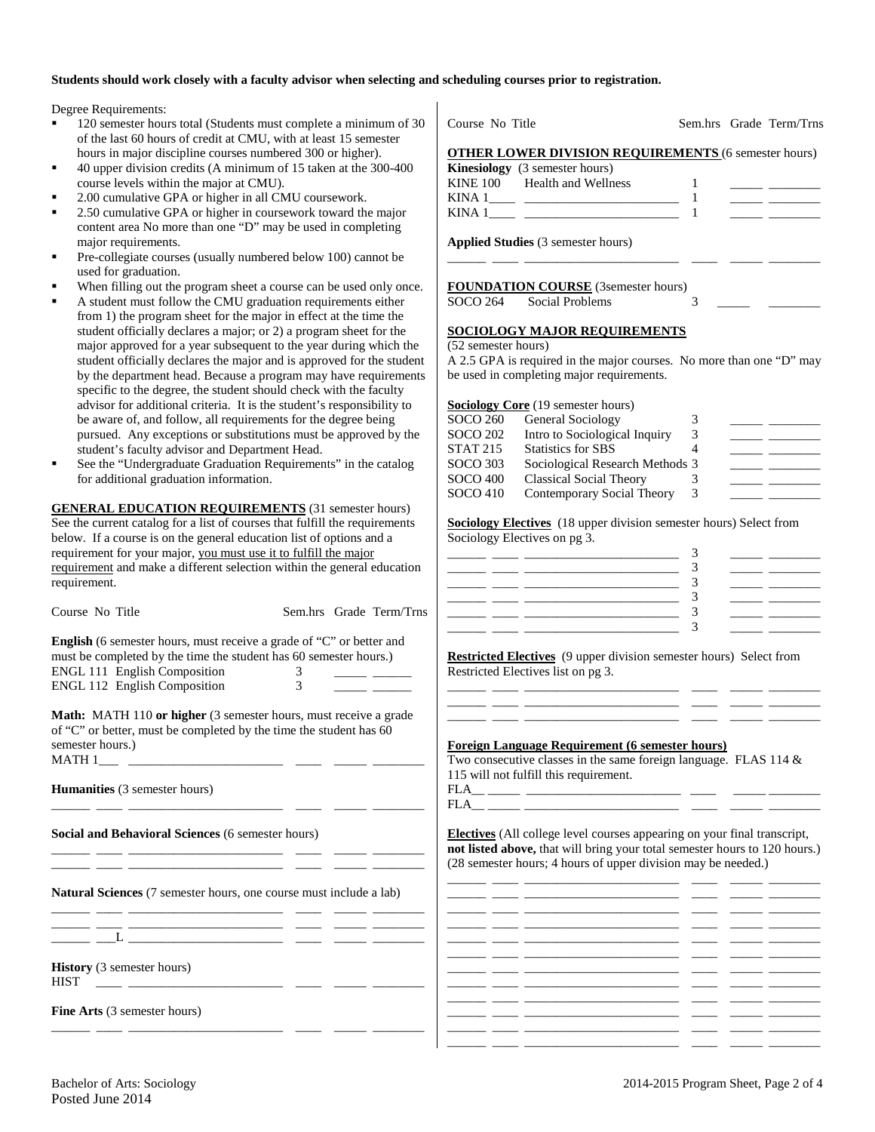#### **Students should work closely with a faculty advisor when selecting and scheduling courses prior to registration.**

Degree Requirements:

- 120 semester hours total (Students must complete a minimum of 30 of the last 60 hours of credit at CMU, with at least 15 semester hours in major discipline courses numbered 300 or higher).
- 40 upper division credits (A minimum of 15 taken at the 300-400 course levels within the major at CMU).
- 2.00 cumulative GPA or higher in all CMU coursework.
- 2.50 cumulative GPA or higher in coursework toward the major content area No more than one "D" may be used in completing major requirements.
- Pre-collegiate courses (usually numbered below 100) cannot be used for graduation.
- When filling out the program sheet a course can be used only once.
- A student must follow the CMU graduation requirements either from 1) the program sheet for the major in effect at the time the student officially declares a major; or 2) a program sheet for the major approved for a year subsequent to the year during which the student officially declares the major and is approved for the student by the department head. Because a program may have requirements specific to the degree, the student should check with the faculty advisor for additional criteria. It is the student's responsibility to be aware of, and follow, all requirements for the degree being pursued. Any exceptions or substitutions must be approved by the student's faculty advisor and Department Head.
- See the "Undergraduate Graduation Requirements" in the catalog for additional graduation information.

**GENERAL EDUCATION REQUIREMENTS** (31 semester hours) See the current catalog for a list of courses that fulfill the requirements below. If a course is on the general education list of options and a requirement for your major, you must use it to fulfill the major requirement and make a different selection within the general education requirement.

**English** (6 semester hours, must receive a grade of "C" or better and must be completed by the time the student has 60 semester hours.) ENGL 111 English Composition 3 \_\_\_\_\_\_ \_\_\_\_\_\_ ENGL 112 English Composition 3 \_\_\_\_\_\_ \_\_\_\_\_\_

Course No Title Sem.hrs Grade Term/Trns

**Math:** MATH 110 **or higher** (3 semester hours, must receive a grade of "C" or better, must be completed by the time the student has 60 semester hours.)  $MATH 1$ <sub>\_\_\_\_</sub> \_\_

\_\_\_\_\_\_ \_\_\_\_ \_\_\_\_\_\_\_\_\_\_\_\_\_\_\_\_\_\_\_\_\_\_\_\_ \_\_\_\_ \_\_\_\_\_ \_\_\_\_\_\_\_\_

**Humanities** (3 semester hours)

**Social and Behavioral Sciences** (6 semester hours)

\_\_\_\_\_\_ \_\_\_\_ \_\_\_\_\_\_\_\_\_\_\_\_\_\_\_\_\_\_\_\_\_\_\_\_ \_\_\_\_ \_\_\_\_\_ \_\_\_\_\_\_\_\_ \_\_\_\_\_\_ \_\_\_\_ \_\_\_\_\_\_\_\_\_\_\_\_\_\_\_\_\_\_\_\_\_\_\_\_ \_\_\_\_ \_\_\_\_\_ \_\_\_\_\_\_\_\_

**Natural Sciences** (7 semester hours, one course must include a lab)

\_\_\_\_\_\_ \_\_\_\_ \_\_\_\_\_\_\_\_\_\_\_\_\_\_\_\_\_\_\_\_\_\_\_\_ \_\_\_\_ \_\_\_\_\_ \_\_\_\_\_\_\_\_ \_\_\_\_\_\_ \_\_\_\_ \_\_\_\_\_\_\_\_\_\_\_\_\_\_\_\_\_\_\_\_\_\_\_\_ \_\_\_\_ \_\_\_\_\_ \_\_\_\_\_\_\_\_  $\frac{-}{\Box}$   $\frac{-}{\Box}$   $\frac{-}{\Box}$ 

\_\_\_\_\_\_ \_\_\_\_ \_\_\_\_\_\_\_\_\_\_\_\_\_\_\_\_\_\_\_\_\_\_\_\_ \_\_\_\_ \_\_\_\_\_ \_\_\_\_\_\_\_\_

**History** (3 semester hours) HIST \_\_\_\_ \_\_\_\_\_\_\_\_\_\_\_\_\_\_\_\_\_\_\_\_\_\_\_\_ \_\_\_\_ \_\_\_\_\_ \_\_\_\_\_\_\_\_

**Fine Arts** (3 semester hours)

Course No Title Sem.hrs Grade Term/Trns **OTHER LOWER DIVISION REQUIREMENTS** (6 semester hours) **Kinesiology** (3 semester hours) KINE 100 Health and Wellness 1 \_\_\_\_\_ \_\_\_\_\_\_\_\_ KINA 1\_\_\_\_ \_\_\_\_\_\_\_\_\_\_\_\_\_\_\_\_\_\_\_\_\_\_\_\_ 1 \_\_\_\_\_ \_\_\_\_\_\_\_\_ KINA  $1 \qquad \qquad$   $\qquad \qquad$   $\qquad \qquad$   $\qquad \qquad$   $\qquad \qquad$   $\qquad \qquad$   $\qquad \qquad$   $\qquad \qquad$   $\qquad \qquad$   $\qquad \qquad$   $\qquad \qquad$   $\qquad$   $\qquad \qquad$   $\qquad$   $\qquad \qquad$   $\qquad$   $\qquad$   $\qquad$   $\qquad$   $\qquad$   $\qquad$   $\qquad$   $\qquad$   $\qquad$   $\qquad$   $\qquad$   $\qquad$   $\qquad$   $\qquad$   $\$ **Applied Studies** (3 semester hours) \_\_\_\_\_\_ \_\_\_\_ \_\_\_\_\_\_\_\_\_\_\_\_\_\_\_\_\_\_\_\_\_\_\_\_ \_\_\_\_ \_\_\_\_\_ \_\_\_\_\_\_\_\_ **FOUNDATION COURSE** (3semester hours) SOCO 264 Social Problems 3 **SOCIOLOGY MAJOR REQUIREMENTS** (52 semester hours) A 2.5 GPA is required in the major courses. No more than one "D" may be used in completing major requirements.

**Sociology Core** (19 semester hours)

| SOCO 260        | General Sociology               |   |  |
|-----------------|---------------------------------|---|--|
| <b>SOCO 202</b> | Intro to Sociological Inquiry   | 3 |  |
| <b>STAT 215</b> | <b>Statistics for SBS</b>       |   |  |
| <b>SOCO 303</b> | Sociological Research Methods 3 |   |  |
| <b>SOCO 400</b> | <b>Classical Social Theory</b>  |   |  |
| SOCO 410        | Contemporary Social Theory      | 3 |  |
|                 |                                 |   |  |

**Sociology Electives** (18 upper division semester hours) Select from Sociology Electives on pg 3.

|       | ____    |  |
|-------|---------|--|
| _____ | _______ |  |
|       | ____    |  |
| ____  | _____   |  |
|       |         |  |

**Restricted Electives** (9 upper division semester hours) Select from Restricted Electives list on pg 3.

\_\_\_\_\_\_ \_\_\_\_ \_\_\_\_\_\_\_\_\_\_\_\_\_\_\_\_\_\_\_\_\_\_\_\_ \_\_\_\_ \_\_\_\_\_ \_\_\_\_\_\_\_\_ \_\_\_\_\_\_ \_\_\_\_ \_\_\_\_\_\_\_\_\_\_\_\_\_\_\_\_\_\_\_\_\_\_\_\_ \_\_\_\_ \_\_\_\_\_ \_\_\_\_\_\_\_\_ \_\_\_\_\_\_ \_\_\_\_ \_\_\_\_\_\_\_\_\_\_\_\_\_\_\_\_\_\_\_\_\_\_\_\_ \_\_\_\_ \_\_\_\_\_ \_\_\_\_\_\_\_\_

#### **Foreign Language Requirement (6 semester hours)**

Two consecutive classes in the same foreign language. FLAS 114 & 115 will not fulfill this requirement.

 $\begin{tabular}{l} \bf{FLA}\!\! \end{tabular} \begin{tabular}{l} \bf{FLA}\!\! \end{tabular} \begin{tabular}{l} \bf{CLA}\!\! \end{tabular} \end{tabular} \begin{tabular}{l} \bf{CLA}\!\! \end{tabular} \end{tabular} \begin{tabular}{l} \bf{CLA}\!\! \end{tabular} \begin{tabular}{l} \bf{CLA}\!\! \end{tabular} \end{tabular} \begin{tabular}{l} \bf{CLA}\!\! \end{tabular} \end{tabular} \begin{tabular}{l} \bf{CLA}\!\! \end{tabular} \begin{tabular}{l} \bf{CLA}\!\! \end{tab$ FLA\_\_ \_\_\_\_\_ \_\_\_\_\_\_\_\_\_\_\_\_\_\_\_\_\_\_\_\_\_\_\_\_ \_\_\_\_ \_\_\_\_\_ \_\_\_\_\_\_\_\_

**Electives** (All college level courses appearing on your final transcript, **not listed above,** that will bring your total semester hours to 120 hours.) (28 semester hours; 4 hours of upper division may be needed.)

|  |  | ____                     |
|--|--|--------------------------|
|  |  |                          |
|  |  | $\overline{\phantom{a}}$ |
|  |  |                          |
|  |  |                          |
|  |  | $\overline{\phantom{a}}$ |
|  |  |                          |
|  |  |                          |
|  |  |                          |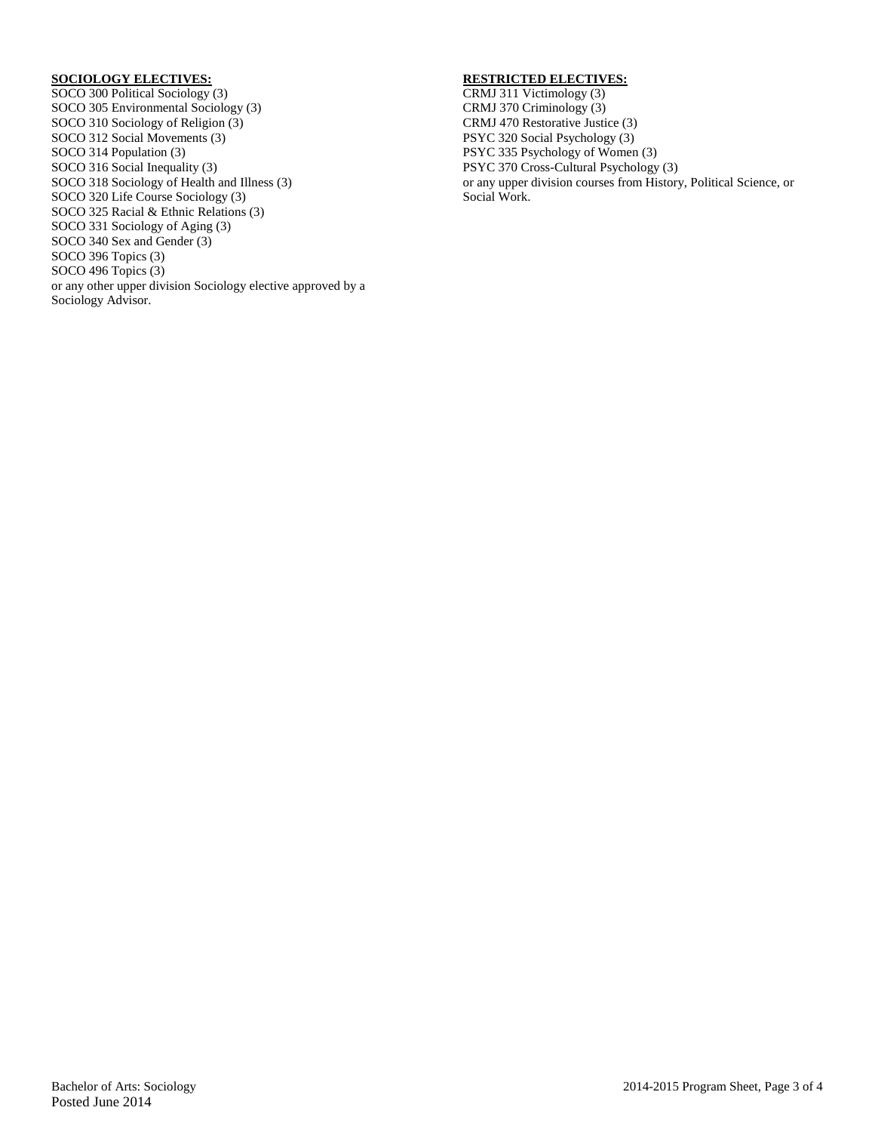#### **SOCIOLOGY ELECTIVES:**

SOCO 300 Political Sociology (3) SOCO 305 Environmental Sociology (3) SOCO 310 Sociology of Religion (3) SOCO 312 Social Movements (3) SOCO 314 Population (3) SOCO 316 Social Inequality (3) SOCO 318 Sociology of Health and Illness (3) SOCO 320 Life Course Sociology (3) SOCO 325 Racial & Ethnic Relations (3) SOCO 331 Sociology of Aging (3) SOCO 340 Sex and Gender (3) SOCO 396 Topics (3) SOCO 496 Topics (3) or any other upper division Sociology elective approved by a Sociology Advisor.

#### **RESTRICTED ELECTIVES:**

CRMJ 311 Victimology (3) CRMJ 370 Criminology (3) CRMJ 470 Restorative Justice (3) PSYC 320 Social Psychology (3) PSYC 335 Psychology of Women (3) PSYC 370 Cross-Cultural Psychology (3) or any upper division courses from History, Political Science, or Social Work.